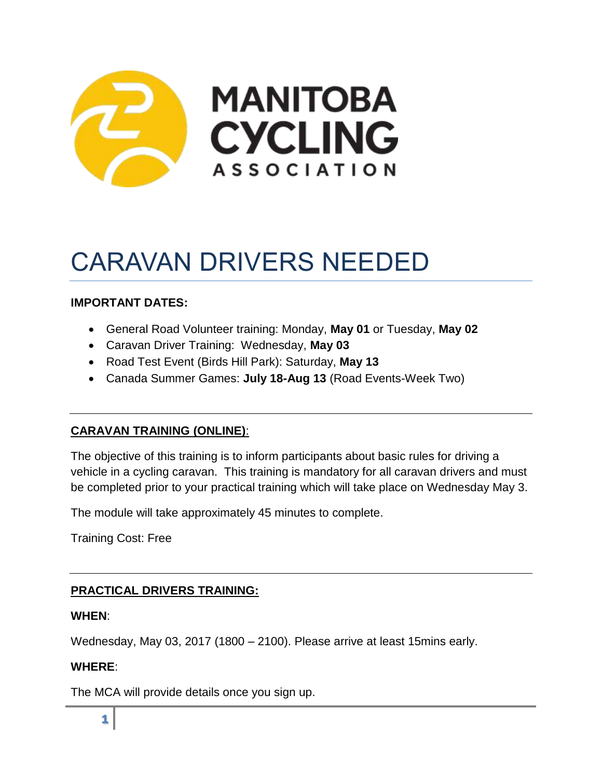

# CARAVAN DRIVERS NEEDED

# **IMPORTANT DATES:**

- General Road Volunteer training: Monday, **May 01** or Tuesday, **May 02**
- Caravan Driver Training: Wednesday, **May 03**
- Road Test Event (Birds Hill Park): Saturday, **May 13**
- Canada Summer Games: **July 18-Aug 13** (Road Events-Week Two)

#### **CARAVAN TRAINING (ONLINE)**:

The objective of this training is to inform participants about basic rules for driving a vehicle in a cycling caravan. This training is mandatory for all caravan drivers and must be completed prior to your practical training which will take place on Wednesday May 3.

The module will take approximately 45 minutes to complete.

Training Cost: Free

# **PRACTICAL DRIVERS TRAINING:**

#### **WHEN**:

Wednesday, May 03, 2017 (1800 – 2100). Please arrive at least 15mins early.

## **WHERE**:

The MCA will provide details once you sign up.